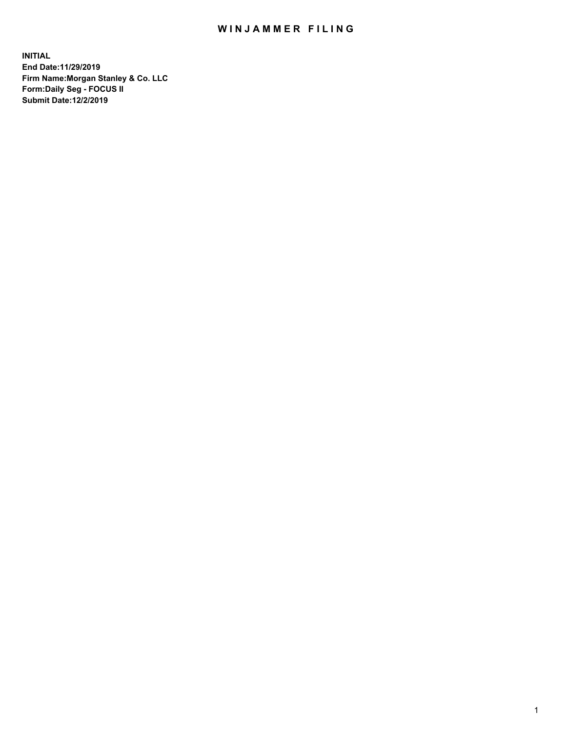## WIN JAMMER FILING

**INITIAL End Date:11/29/2019 Firm Name:Morgan Stanley & Co. LLC Form:Daily Seg - FOCUS II Submit Date:12/2/2019**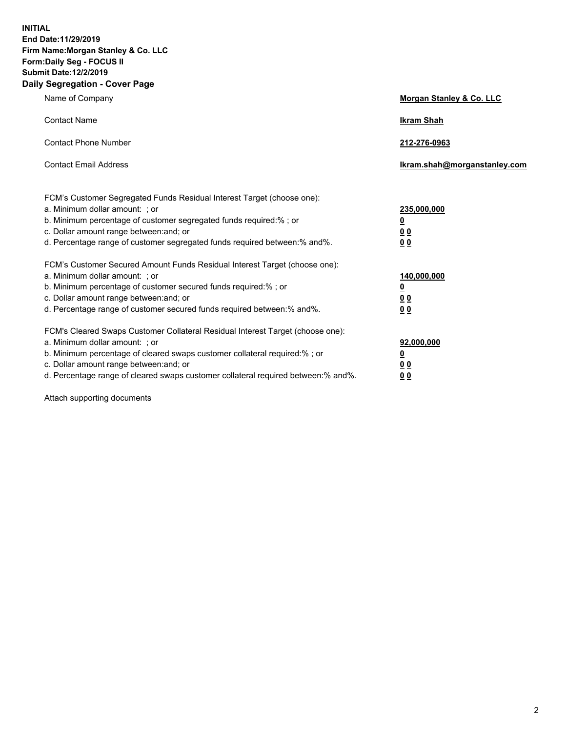**INITIAL End Date:11/29/2019 Firm Name:Morgan Stanley & Co. LLC Form:Daily Seg - FOCUS II Submit Date:12/2/2019 Daily Segregation - Cover Page**

| Name of Company                                                                                                                                                                                                                                                                                                                | Morgan Stanley & Co. LLC                               |
|--------------------------------------------------------------------------------------------------------------------------------------------------------------------------------------------------------------------------------------------------------------------------------------------------------------------------------|--------------------------------------------------------|
| <b>Contact Name</b>                                                                                                                                                                                                                                                                                                            | <b>Ikram Shah</b>                                      |
| <b>Contact Phone Number</b>                                                                                                                                                                                                                                                                                                    | 212-276-0963                                           |
| <b>Contact Email Address</b>                                                                                                                                                                                                                                                                                                   | Ikram.shah@morganstanley.com                           |
| FCM's Customer Segregated Funds Residual Interest Target (choose one):<br>a. Minimum dollar amount: ; or<br>b. Minimum percentage of customer segregated funds required:% ; or<br>c. Dollar amount range between: and; or<br>d. Percentage range of customer segregated funds required between:% and%.                         | 235,000,000<br><u>0</u><br>0 <sup>0</sup><br><u>00</u> |
| FCM's Customer Secured Amount Funds Residual Interest Target (choose one):<br>a. Minimum dollar amount: ; or<br>b. Minimum percentage of customer secured funds required:%; or<br>c. Dollar amount range between: and; or<br>d. Percentage range of customer secured funds required between:% and%.                            | 140,000,000<br><u>0</u><br><u>00</u><br>0 <sub>0</sub> |
| FCM's Cleared Swaps Customer Collateral Residual Interest Target (choose one):<br>a. Minimum dollar amount: ; or<br>b. Minimum percentage of cleared swaps customer collateral required:% ; or<br>c. Dollar amount range between: and; or<br>d. Percentage range of cleared swaps customer collateral required between:% and%. | 92,000,000<br><u>0</u><br><u>00</u><br>0 <sub>0</sub>  |

Attach supporting documents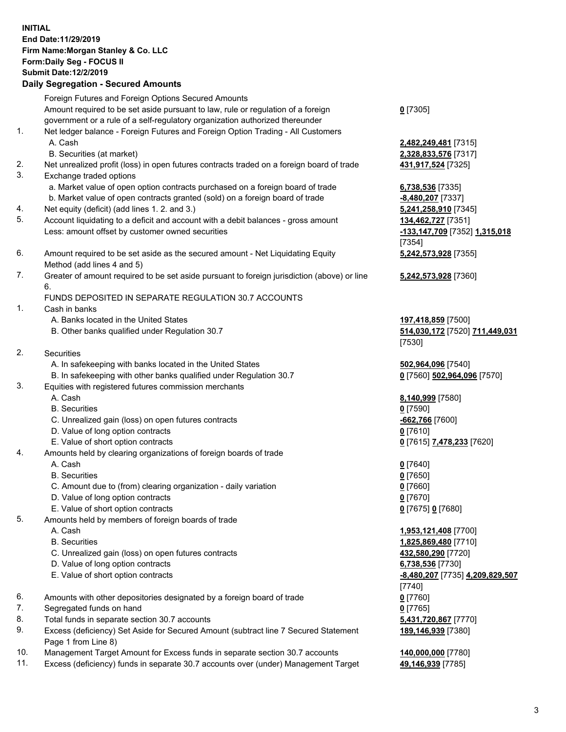## **INITIAL End Date:11/29/2019 Firm Name:Morgan Stanley & Co. LLC Form:Daily Seg - FOCUS II Submit Date:12/2/2019 Daily Segregation - Secured Amounts** Foreign Futures and Foreign Options Secured Amounts

Amount required to be set aside pursuant to law, rule or regulation of a foreign government or a rule of a self-regulatory organization authorized thereunder

- 1. Net ledger balance Foreign Futures and Foreign Option Trading All Customers A. Cash **2,482,249,481** [7315]
	- B. Securities (at market) **2,328,833,576** [7317]
- 2. Net unrealized profit (loss) in open futures contracts traded on a foreign board of trade **431,917,524** [7325]
- 3. Exchange traded options
	- a. Market value of open option contracts purchased on a foreign board of trade **6,738,536** [7335]
	- b. Market value of open contracts granted (sold) on a foreign board of trade **-8,480,207** [7337]
- 4. Net equity (deficit) (add lines 1. 2. and 3.) **5,241,258,910** [7345]
- 5. Account liquidating to a deficit and account with a debit balances gross amount **134,462,727** [7351] Less: amount offset by customer owned securities **-133,147,709** [7352] **1,315,018**
- 6. Amount required to be set aside as the secured amount Net Liquidating Equity Method (add lines 4 and 5)
- 7. Greater of amount required to be set aside pursuant to foreign jurisdiction (above) or line 6.

## FUNDS DEPOSITED IN SEPARATE REGULATION 30.7 ACCOUNTS

- 1. Cash in banks
	- A. Banks located in the United States **197,418,859** [7500]
	- B. Other banks qualified under Regulation 30.7 **514,030,172** [7520] **711,449,031**
- 2. Securities
	- A. In safekeeping with banks located in the United States **502,964,096** [7540]
	- B. In safekeeping with other banks qualified under Regulation 30.7 **0** [7560] **502,964,096** [7570]
- 3. Equities with registered futures commission merchants
	-
	- B. Securities **0** [7590]
	- C. Unrealized gain (loss) on open futures contracts **-662,766** [7600]
	- D. Value of long option contracts **0** [7610]
- E. Value of short option contracts **0** [7615] **7,478,233** [7620]
- 4. Amounts held by clearing organizations of foreign boards of trade
	- A. Cash **0** [7640]
	- B. Securities **0** [7650]
	- C. Amount due to (from) clearing organization daily variation **0** [7660]
	- D. Value of long option contracts **0** [7670]
	- E. Value of short option contracts **0** [7675] **0** [7680]
- 5. Amounts held by members of foreign boards of trade
	-
	-
	- C. Unrealized gain (loss) on open futures contracts **432,580,290** [7720]
	- D. Value of long option contracts **6,738,536** [7730]
	- E. Value of short option contracts **-8,480,207** [7735] **4,209,829,507**
- 6. Amounts with other depositories designated by a foreign board of trade **0** [7760]
- 7. Segregated funds on hand **0** [7765]
- 8. Total funds in separate section 30.7 accounts **5,431,720,867** [7770]
- 9. Excess (deficiency) Set Aside for Secured Amount (subtract line 7 Secured Statement Page 1 from Line 8)
- 10. Management Target Amount for Excess funds in separate section 30.7 accounts **140,000,000** [7780]
- 11. Excess (deficiency) funds in separate 30.7 accounts over (under) Management Target **49,146,939** [7785]

**0** [7305]

[7354] **5,242,573,928** [7355]

**5,242,573,928** [7360]

[7530]

A. Cash **8,140,999** [7580]

 A. Cash **1,953,121,408** [7700] B. Securities **1,825,869,480** [7710] [7740] **189,146,939** [7380]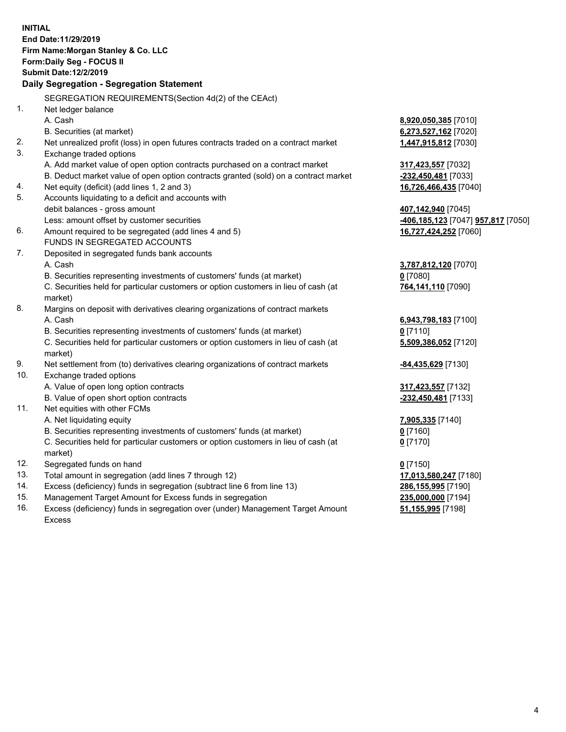**INITIAL End Date:11/29/2019 Firm Name:Morgan Stanley & Co. LLC Form:Daily Seg - FOCUS II Submit Date:12/2/2019 Daily Segregation - Segregation Statement** SEGREGATION REQUIREMENTS(Section 4d(2) of the CEAct) 1. Net ledger balance A. Cash **8,920,050,385** [7010] B. Securities (at market) **6,273,527,162** [7020] 2. Net unrealized profit (loss) in open futures contracts traded on a contract market **1,447,915,812** [7030] 3. Exchange traded options A. Add market value of open option contracts purchased on a contract market **317,423,557** [7032] B. Deduct market value of open option contracts granted (sold) on a contract market **-232,450,481** [7033] 4. Net equity (deficit) (add lines 1, 2 and 3) **16,726,466,435** [7040] 5. Accounts liquidating to a deficit and accounts with debit balances - gross amount **407,142,940** [7045] Less: amount offset by customer securities **-406,185,123** [7047] **957,817** [7050] 6. Amount required to be segregated (add lines 4 and 5) **16,727,424,252** [7060] FUNDS IN SEGREGATED ACCOUNTS 7. Deposited in segregated funds bank accounts A. Cash **3,787,812,120** [7070] B. Securities representing investments of customers' funds (at market) **0** [7080] C. Securities held for particular customers or option customers in lieu of cash (at market) **764,141,110** [7090] 8. Margins on deposit with derivatives clearing organizations of contract markets A. Cash **6,943,798,183** [7100] B. Securities representing investments of customers' funds (at market) **0** [7110] C. Securities held for particular customers or option customers in lieu of cash (at market) **5,509,386,052** [7120] 9. Net settlement from (to) derivatives clearing organizations of contract markets **-84,435,629** [7130] 10. Exchange traded options A. Value of open long option contracts **317,423,557** [7132] B. Value of open short option contracts **-232,450,481** [7133] 11. Net equities with other FCMs A. Net liquidating equity **7,905,335** [7140] B. Securities representing investments of customers' funds (at market) **0** [7160] C. Securities held for particular customers or option customers in lieu of cash (at market) **0** [7170] 12. Segregated funds on hand **0** [7150] 13. Total amount in segregation (add lines 7 through 12) **17,013,580,247** [7180] 14. Excess (deficiency) funds in segregation (subtract line 6 from line 13) **286,155,995** [7190] 15. Management Target Amount for Excess funds in segregation **235,000,000** [7194] **51,155,995** [7198]

16. Excess (deficiency) funds in segregation over (under) Management Target Amount Excess